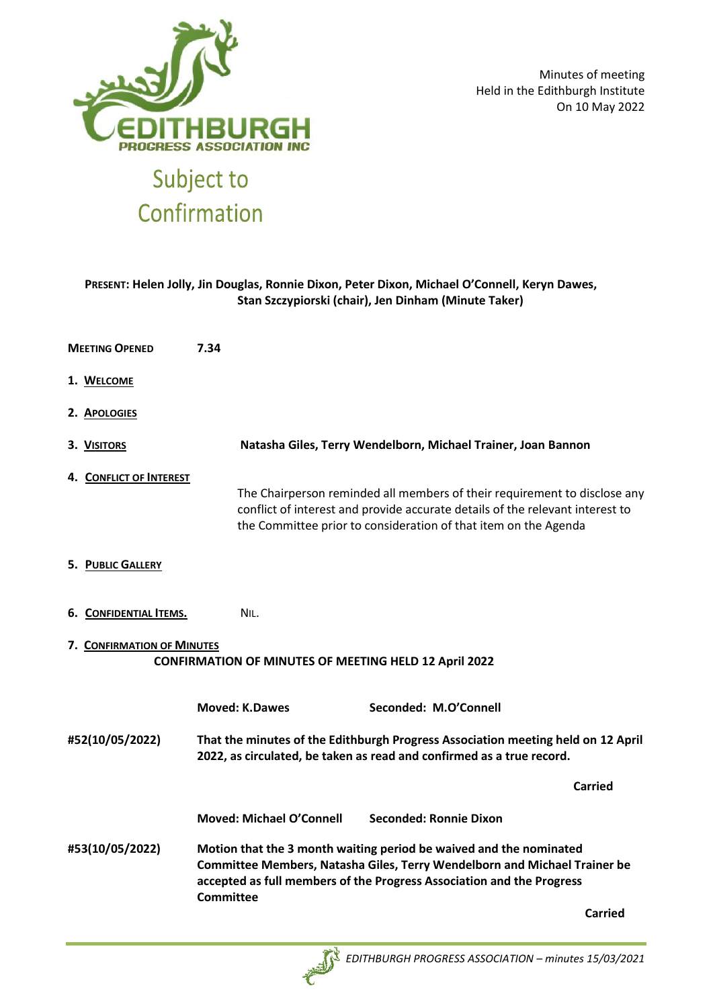

Minutes of meeting Held in the Edithburgh Institute On 10 May 2022

# **PRESENT: Helen Jolly, Jin Douglas, Ronnie Dixon, Peter Dixon, Michael O'Connell, Keryn Dawes, Stan Szczypiorski (chair), Jen Dinham (Minute Taker)**

| <b>MEETING OPENED</b> |                                                                                            | 7.34                                                                                                                                                                                                                                                |                          |                                                                                                                                                                                                                               |         |  |  |
|-----------------------|--------------------------------------------------------------------------------------------|-----------------------------------------------------------------------------------------------------------------------------------------------------------------------------------------------------------------------------------------------------|--------------------------|-------------------------------------------------------------------------------------------------------------------------------------------------------------------------------------------------------------------------------|---------|--|--|
|                       | 1. WELCOME                                                                                 |                                                                                                                                                                                                                                                     |                          |                                                                                                                                                                                                                               |         |  |  |
|                       | 2. Apologies                                                                               |                                                                                                                                                                                                                                                     |                          |                                                                                                                                                                                                                               |         |  |  |
|                       | 3. VISITORS                                                                                |                                                                                                                                                                                                                                                     |                          | Natasha Giles, Terry Wendelborn, Michael Trainer, Joan Bannon                                                                                                                                                                 |         |  |  |
|                       | 4. CONFLICT OF INTEREST                                                                    |                                                                                                                                                                                                                                                     |                          | The Chairperson reminded all members of their requirement to disclose any<br>conflict of interest and provide accurate details of the relevant interest to<br>the Committee prior to consideration of that item on the Agenda |         |  |  |
|                       | <b>5. PUBLIC GALLERY</b>                                                                   |                                                                                                                                                                                                                                                     |                          |                                                                                                                                                                                                                               |         |  |  |
|                       | 6. CONFIDENTIAL ITEMS.                                                                     |                                                                                                                                                                                                                                                     | NIL.                     |                                                                                                                                                                                                                               |         |  |  |
|                       | 7. CONFIRMATION OF MINUTES<br><b>CONFIRMATION OF MINUTES OF MEETING HELD 12 April 2022</b> |                                                                                                                                                                                                                                                     |                          |                                                                                                                                                                                                                               |         |  |  |
|                       |                                                                                            |                                                                                                                                                                                                                                                     | <b>Moved: K.Dawes</b>    | Seconded: M.O'Connell                                                                                                                                                                                                         |         |  |  |
| #52(10/05/2022)       |                                                                                            | That the minutes of the Edithburgh Progress Association meeting held on 12 April<br>2022, as circulated, be taken as read and confirmed as a true record.                                                                                           |                          |                                                                                                                                                                                                                               |         |  |  |
|                       |                                                                                            |                                                                                                                                                                                                                                                     |                          |                                                                                                                                                                                                                               | Carried |  |  |
|                       |                                                                                            |                                                                                                                                                                                                                                                     | Moved: Michael O'Connell | Seconded: Ronnie Dixon                                                                                                                                                                                                        |         |  |  |
| #53(10/05/2022)       |                                                                                            | Motion that the 3 month waiting period be waived and the nominated<br><b>Committee Members, Natasha Giles, Terry Wendelborn and Michael Trainer be</b><br>accepted as full members of the Progress Association and the Progress<br><b>Committee</b> |                          |                                                                                                                                                                                                                               |         |  |  |
|                       |                                                                                            |                                                                                                                                                                                                                                                     |                          |                                                                                                                                                                                                                               | Carried |  |  |

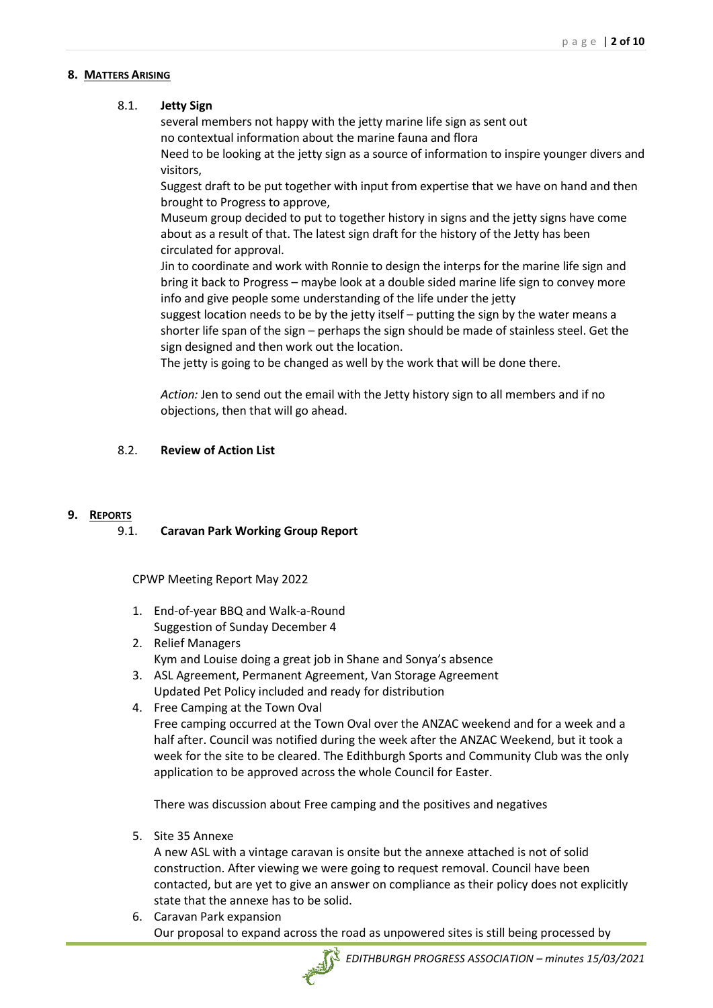#### **8. MATTERS ARISING**

# 8.1. **Jetty Sign**

several members not happy with the jetty marine life sign as sent out no contextual information about the marine fauna and flora

Need to be looking at the jetty sign as a source of information to inspire younger divers and visitors,

Suggest draft to be put together with input from expertise that we have on hand and then brought to Progress to approve,

Museum group decided to put to together history in signs and the jetty signs have come about as a result of that. The latest sign draft for the history of the Jetty has been circulated for approval.

Jin to coordinate and work with Ronnie to design the interps for the marine life sign and bring it back to Progress – maybe look at a double sided marine life sign to convey more info and give people some understanding of the life under the jetty

suggest location needs to be by the jetty itself – putting the sign by the water means a shorter life span of the sign – perhaps the sign should be made of stainless steel. Get the sign designed and then work out the location.

The jetty is going to be changed as well by the work that will be done there.

*Action:* Jen to send out the email with the Jetty history sign to all members and if no objections, then that will go ahead.

# 8.2. **Review of Action List**

# **9. REPORTS**

# 9.1. **Caravan Park Working Group Report**

CPWP Meeting Report May 2022

- 1. End-of-year BBQ and Walk-a-Round Suggestion of Sunday December 4
- 2. Relief Managers Kym and Louise doing a great job in Shane and Sonya's absence
- 3. ASL Agreement, Permanent Agreement, Van Storage Agreement Updated Pet Policy included and ready for distribution
- 4. Free Camping at the Town Oval Free camping occurred at the Town Oval over the ANZAC weekend and for a week and a half after. Council was notified during the week after the ANZAC Weekend, but it took a week for the site to be cleared. The Edithburgh Sports and Community Club was the only application to be approved across the whole Council for Easter.

There was discussion about Free camping and the positives and negatives

5. Site 35 Annexe

A new ASL with a vintage caravan is onsite but the annexe attached is not of solid construction. After viewing we were going to request removal. Council have been contacted, but are yet to give an answer on compliance as their policy does not explicitly state that the annexe has to be solid.

6. Caravan Park expansion Our proposal to expand across the road as unpowered sites is still being processed by

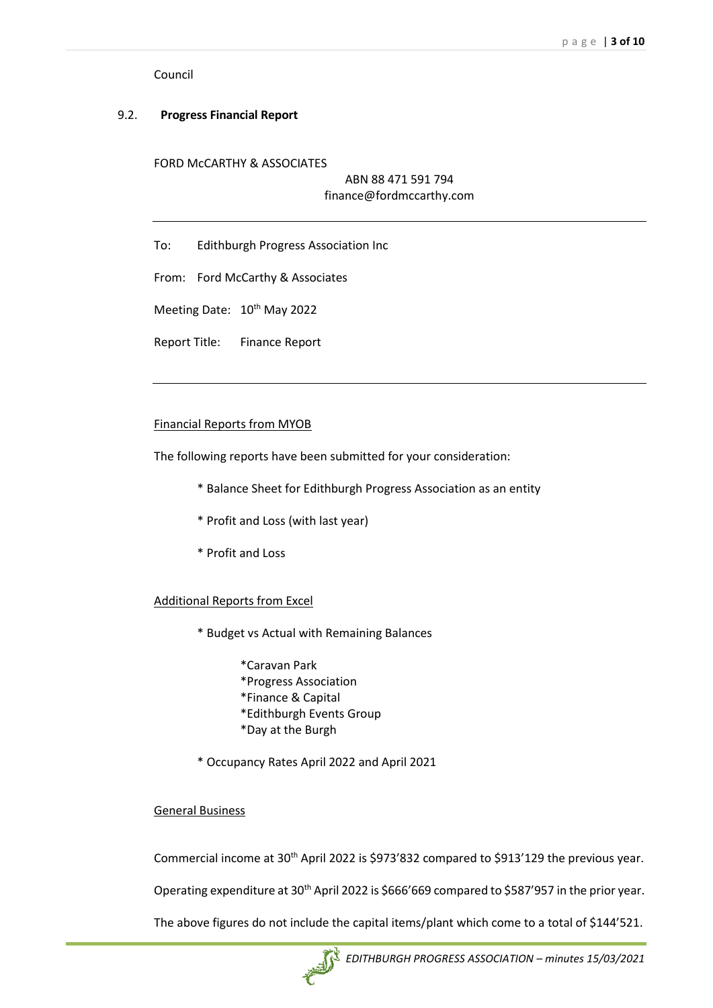Council

### 9.2. **Progress Financial Report**

FORD McCARTHY & ASSOCIATES

# ABN 88 471 591 794 finance@fordmccarthy.com

To: Edithburgh Progress Association Inc

From: Ford McCarthy & Associates

Meeting Date: 10<sup>th</sup> May 2022

Report Title: Finance Report

#### Financial Reports from MYOB

The following reports have been submitted for your consideration:

- \* Balance Sheet for Edithburgh Progress Association as an entity
- \* Profit and Loss (with last year)
- \* Profit and Loss

Additional Reports from Excel

- \* Budget vs Actual with Remaining Balances
	- \*Caravan Park \*Progress Association \*Finance & Capital \*Edithburgh Events Group \*Day at the Burgh
- \* Occupancy Rates April 2022 and April 2021

#### General Business

Commercial income at 30<sup>th</sup> April 2022 is \$973'832 compared to \$913'129 the previous year.

Operating expenditure at 30<sup>th</sup> April 2022 is \$666'669 compared to \$587'957 in the prior year.

The above figures do not include the capital items/plant which come to a total of \$144'521.

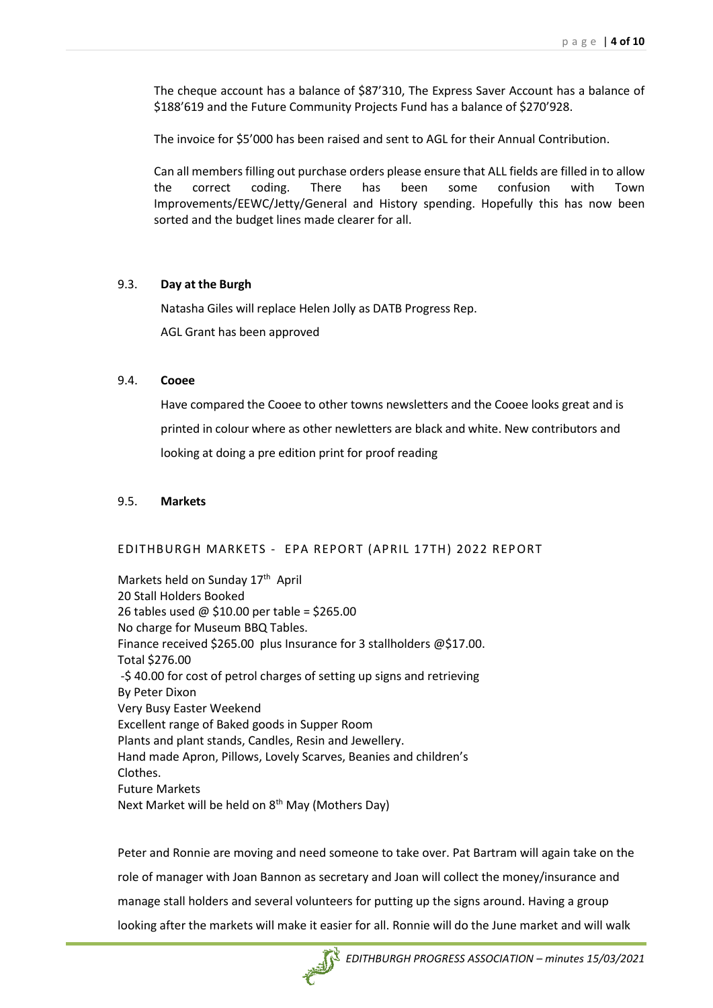The cheque account has a balance of \$87'310, The Express Saver Account has a balance of \$188'619 and the Future Community Projects Fund has a balance of \$270'928.

The invoice for \$5'000 has been raised and sent to AGL for their Annual Contribution.

Can all members filling out purchase orders please ensure that ALL fields are filled in to allow the correct coding. There has been some confusion with Town Improvements/EEWC/Jetty/General and History spending. Hopefully this has now been sorted and the budget lines made clearer for all.

#### 9.3. **Day at the Burgh**

Natasha Giles will replace Helen Jolly as DATB Progress Rep.

AGL Grant has been approved

#### 9.4. **Cooee**

Have compared the Cooee to other towns newsletters and the Cooee looks great and is printed in colour where as other newletters are black and white. New contributors and looking at doing a pre edition print for proof reading

#### 9.5. **Markets**

#### EDITHBURGH MARKETS - EPA REPORT (APRIL 17TH) 2022 REPORT

Markets held on Sunday 17<sup>th</sup> April 20 Stall Holders Booked 26 tables used @ \$10.00 per table = \$265.00 No charge for Museum BBQ Tables. Finance received \$265.00 plus Insurance for 3 stallholders @\$17.00. Total \$276.00 -\$ 40.00 for cost of petrol charges of setting up signs and retrieving By Peter Dixon Very Busy Easter Weekend Excellent range of Baked goods in Supper Room Plants and plant stands, Candles, Resin and Jewellery. Hand made Apron, Pillows, Lovely Scarves, Beanies and children's Clothes. Future Markets Next Market will be held on 8<sup>th</sup> May (Mothers Day)

Peter and Ronnie are moving and need someone to take over. Pat Bartram will again take on the role of manager with Joan Bannon as secretary and Joan will collect the money/insurance and manage stall holders and several volunteers for putting up the signs around. Having a group looking after the markets will make it easier for all. Ronnie will do the June market and will walk

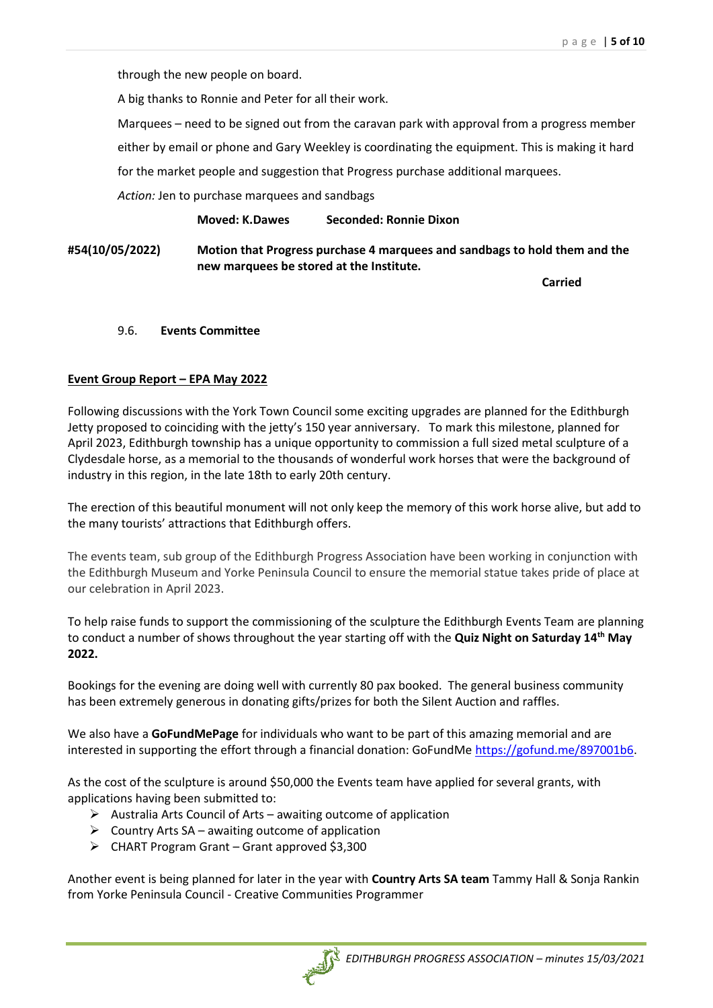through the new people on board.

A big thanks to Ronnie and Peter for all their work.

Marquees – need to be signed out from the caravan park with approval from a progress member

either by email or phone and Gary Weekley is coordinating the equipment. This is making it hard

for the market people and suggestion that Progress purchase additional marquees.

*Action:* Jen to purchase marquees and sandbags

**Moved: K.Dawes Seconded: Ronnie Dixon**

**#54(10/05/2022) Motion that Progress purchase 4 marquees and sandbags to hold them and the new marquees be stored at the Institute.**

**Carried**

#### 9.6. **Events Committee**

# **Event Group Report – EPA May 2022**

Following discussions with the York Town Council some exciting upgrades are planned for the Edithburgh Jetty proposed to coinciding with the jetty's 150 year anniversary. To mark this milestone, planned for April 2023, Edithburgh township has a unique opportunity to commission a full sized metal sculpture of a Clydesdale horse, as a memorial to the thousands of wonderful work horses that were the background of industry in this region, in the late 18th to early 20th century.

The erection of this beautiful monument will not only keep the memory of this work horse alive, but add to the many tourists' attractions that Edithburgh offers.

The events team, sub group of the Edithburgh Progress Association have been working in conjunction with the Edithburgh Museum and Yorke Peninsula Council to ensure the memorial statue takes pride of place at our celebration in April 2023.

To help raise funds to support the commissioning of the sculpture the Edithburgh Events Team are planning to conduct a number of shows throughout the year starting off with the **Quiz Night on Saturday 14th May 2022.**

Bookings for the evening are doing well with currently 80 pax booked. The general business community has been extremely generous in donating gifts/prizes for both the Silent Auction and raffles.

We also have a **GoFundMePage** for individuals who want to be part of this amazing memorial and are interested in supporting the effort through a financial donation: GoFundMe [https://gofund.me/897001b6.](https://gofund.me/897001b6)

As the cost of the sculpture is around \$50,000 the Events team have applied for several grants, with applications having been submitted to:

- $\triangleright$  Australia Arts Council of Arts awaiting outcome of application
- $\triangleright$  Country Arts SA awaiting outcome of application
- ➢ CHART Program Grant Grant approved \$3,300

Another event is being planned for later in the year with **Country Arts SA team** Tammy Hall & Sonja Rankin from Yorke Peninsula Council - Creative Communities Programmer

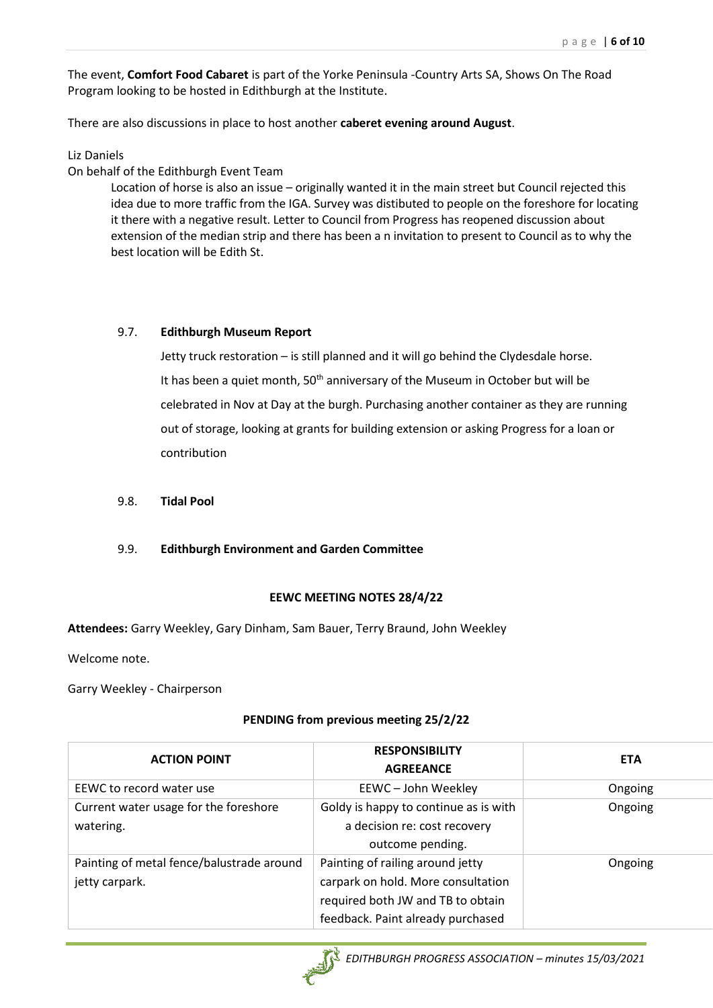The event, **Comfort Food Cabaret** is part of the Yorke Peninsula -Country Arts SA, Shows On The Road Program looking to be hosted in Edithburgh at the Institute.

There are also discussions in place to host another **caberet evening around August**.

Liz Daniels

On behalf of the Edithburgh Event Team

Location of horse is also an issue – originally wanted it in the main street but Council rejected this idea due to more traffic from the IGA. Survey was distibuted to people on the foreshore for locating it there with a negative result. Letter to Council from Progress has reopened discussion about extension of the median strip and there has been a n invitation to present to Council as to why the best location will be Edith St.

# 9.7. **Edithburgh Museum Report**

Jetty truck restoration – is still planned and it will go behind the Clydesdale horse. It has been a quiet month,  $50<sup>th</sup>$  anniversary of the Museum in October but will be celebrated in Nov at Day at the burgh. Purchasing another container as they are running out of storage, looking at grants for building extension or asking Progress for a loan or contribution

9.8. **Tidal Pool**

# 9.9. **Edithburgh Environment and Garden Committee**

# **EEWC MEETING NOTES 28/4/22**

**Attendees:** Garry Weekley, Gary Dinham, Sam Bauer, Terry Braund, John Weekley

Welcome note.

Garry Weekley - Chairperson

# **PENDING from previous meeting 25/2/22**

| <b>ACTION POINT</b>                                         | <b>RESPONSIBILITY</b><br><b>AGREEANCE</b>                                                                                                        | <b>ETA</b> |
|-------------------------------------------------------------|--------------------------------------------------------------------------------------------------------------------------------------------------|------------|
| EEWC to record water use                                    | EEWC-John Weekley                                                                                                                                | Ongoing    |
| Current water usage for the foreshore<br>watering.          | Goldy is happy to continue as is with<br>a decision re: cost recovery<br>outcome pending.                                                        | Ongoing    |
| Painting of metal fence/balustrade around<br>jetty carpark. | Painting of railing around jetty<br>carpark on hold. More consultation<br>required both JW and TB to obtain<br>feedback. Paint already purchased | Ongoing    |

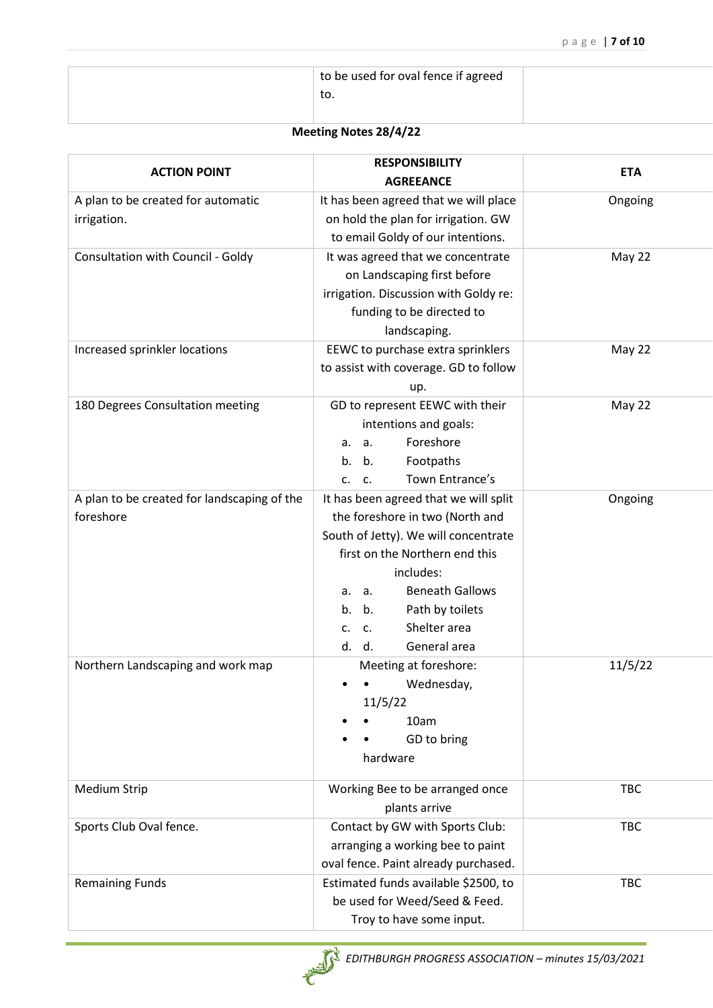| to be used for oval fence if agreed |  |
|-------------------------------------|--|
| to.                                 |  |
|                                     |  |

# **Meeting Notes 28/4/22**

| <b>ACTION POINT</b>                                      | <b>RESPONSIBILITY</b><br><b>AGREEANCE</b>                                                                                                                                                                                                                                                    | <b>ETA</b> |
|----------------------------------------------------------|----------------------------------------------------------------------------------------------------------------------------------------------------------------------------------------------------------------------------------------------------------------------------------------------|------------|
| A plan to be created for automatic<br>irrigation.        | It has been agreed that we will place<br>on hold the plan for irrigation. GW<br>to email Goldy of our intentions.                                                                                                                                                                            | Ongoing    |
| Consultation with Council - Goldy                        | It was agreed that we concentrate<br>on Landscaping first before<br>irrigation. Discussion with Goldy re:<br>funding to be directed to<br>landscaping.                                                                                                                                       | May 22     |
| Increased sprinkler locations                            | EEWC to purchase extra sprinklers<br>to assist with coverage. GD to follow<br>up.                                                                                                                                                                                                            | May 22     |
| 180 Degrees Consultation meeting                         | GD to represent EEWC with their<br>intentions and goals:<br>Foreshore<br>a.<br>а.<br>Footpaths<br>b.<br>b.<br>Town Entrance's<br>c.<br>C.                                                                                                                                                    | May 22     |
| A plan to be created for landscaping of the<br>foreshore | It has been agreed that we will split<br>the foreshore in two (North and<br>South of Jetty). We will concentrate<br>first on the Northern end this<br>includes:<br><b>Beneath Gallows</b><br>a.<br>а.<br>Path by toilets<br>b.<br>b.<br>Shelter area<br>c.<br>C.<br>General area<br>d.<br>d. | Ongoing    |
| Northern Landscaping and work map                        | Meeting at foreshore:<br>Wednesday,<br>11/5/22<br>10am<br>GD to bring<br>hardware                                                                                                                                                                                                            | 11/5/22    |
| <b>Medium Strip</b>                                      | Working Bee to be arranged once<br>plants arrive                                                                                                                                                                                                                                             | TBC        |
| Sports Club Oval fence.                                  | Contact by GW with Sports Club:<br>arranging a working bee to paint<br>oval fence. Paint already purchased.                                                                                                                                                                                  | TBC        |
| <b>Remaining Funds</b>                                   | Estimated funds available \$2500, to<br>be used for Weed/Seed & Feed.<br>Troy to have some input.                                                                                                                                                                                            | <b>TBC</b> |

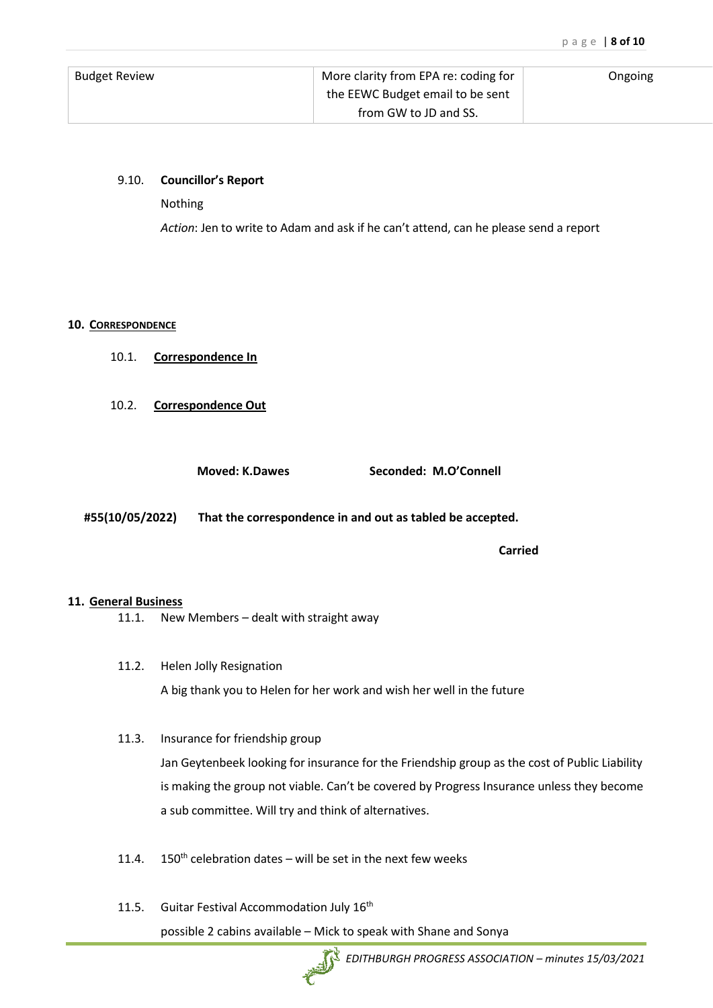| <b>Budget Review</b> | More clarity from EPA re: coding for | Ongoing |
|----------------------|--------------------------------------|---------|
|                      | the EEWC Budget email to be sent     |         |
|                      | from GW to JD and SS.                |         |

### 9.10. **Councillor's Report**

Nothing

*Action*: Jen to write to Adam and ask if he can't attend, can he please send a report

#### **10. CORRESPONDENCE**

- 10.1. **Correspondence In**
- 10.2. **Correspondence Out**

**Moved: K.Dawes Seconded: M.O'Connell**

**#55(10/05/2022) That the correspondence in and out as tabled be accepted.**

**Carried**

#### **11. General Business**

- 11.1. New Members dealt with straight away
- 11.2. Helen Jolly Resignation A big thank you to Helen for her work and wish her well in the future

#### 11.3. Insurance for friendship group

Jan Geytenbeek looking for insurance for the Friendship group as the cost of Public Liability is making the group not viable. Can't be covered by Progress Insurance unless they become a sub committee. Will try and think of alternatives.

- 11.4.  $150<sup>th</sup>$  celebration dates will be set in the next few weeks
- 11.5. Guitar Festival Accommodation July 16<sup>th</sup> possible 2 cabins available – Mick to speak with Shane and Sonya

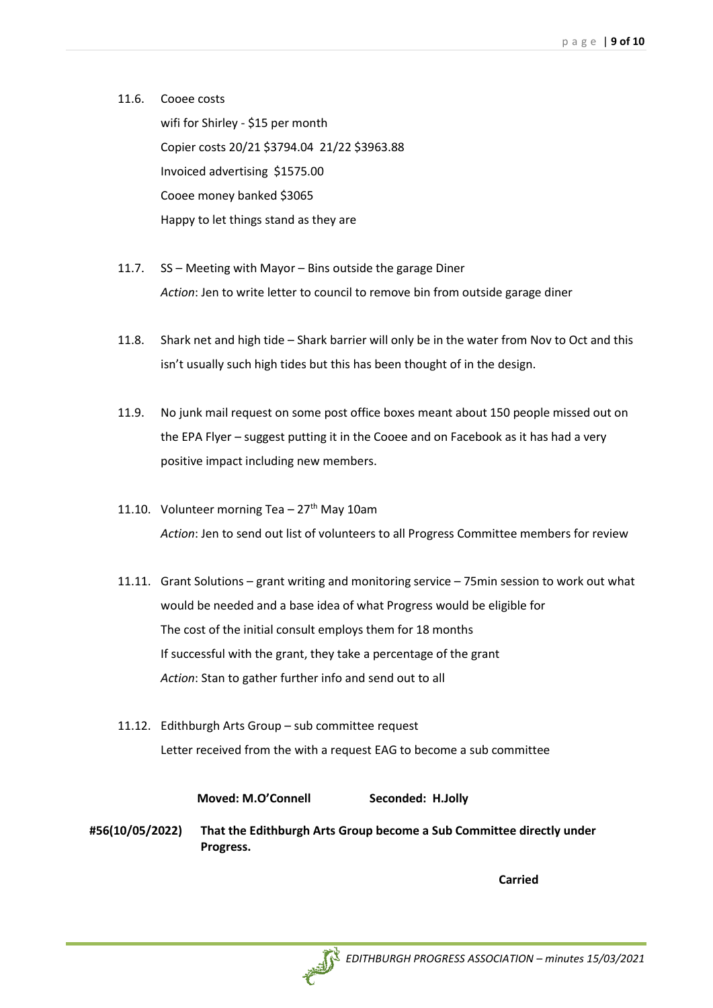11.6. Cooee costs wifi for Shirley - \$15 per month Copier costs 20/21 \$3794.04 21/22 \$3963.88 Invoiced advertising \$1575.00 Cooee money banked \$3065 Happy to let things stand as they are

- 11.7. SS Meeting with Mayor Bins outside the garage Diner *Action*: Jen to write letter to council to remove bin from outside garage diner
- 11.8. Shark net and high tide Shark barrier will only be in the water from Nov to Oct and this isn't usually such high tides but this has been thought of in the design.
- 11.9. No junk mail request on some post office boxes meant about 150 people missed out on the EPA Flyer – suggest putting it in the Cooee and on Facebook as it has had a very positive impact including new members.
- 11.10. Volunteer morning Tea  $-27<sup>th</sup>$  May 10am *Action*: Jen to send out list of volunteers to all Progress Committee members for review
- 11.11. Grant Solutions grant writing and monitoring service 75min session to work out what would be needed and a base idea of what Progress would be eligible for The cost of the initial consult employs them for 18 months If successful with the grant, they take a percentage of the grant *Action*: Stan to gather further info and send out to all
- 11.12. Edithburgh Arts Group sub committee request Letter received from the with a request EAG to become a sub committee

**Moved: M.O'Connell Seconded: H.Jolly**

**#56(10/05/2022) That the Edithburgh Arts Group become a Sub Committee directly under Progress.**

**Carried**